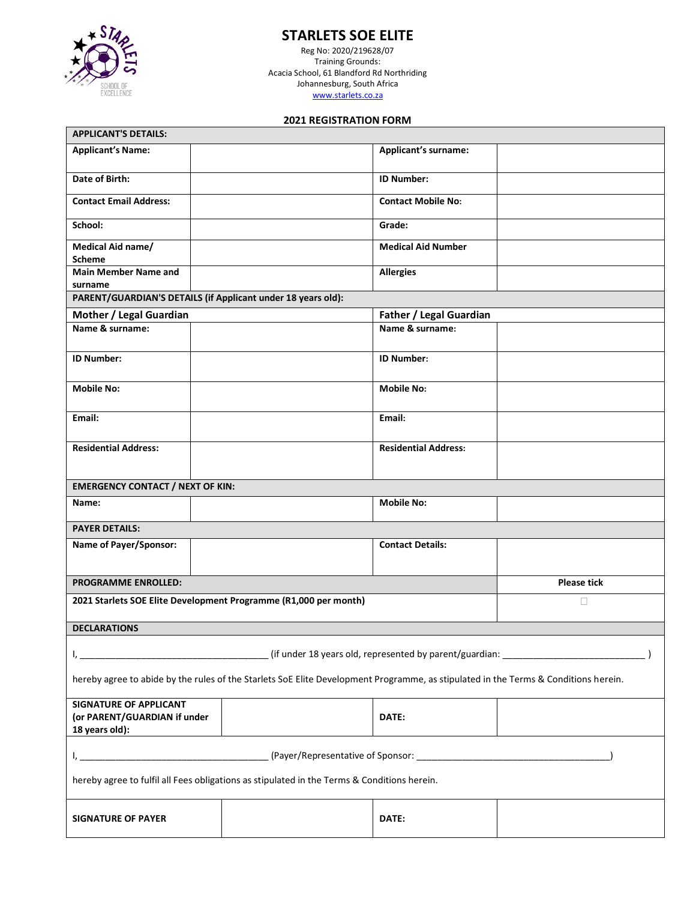

# **STARLETS SOE ELITE**

Reg No: 2020/219628/07 Training Grounds: Acacia School, 61 Blandford Rd Northriding Johannesburg, South Africa [www.starlets.co.za](http://www.starlets.co.za/)

# **2021 REGISTRATION FORM**

| <b>APPLICANT'S DETAILS:</b>                                                                                                         |  |                             |                    |
|-------------------------------------------------------------------------------------------------------------------------------------|--|-----------------------------|--------------------|
| <b>Applicant's Name:</b>                                                                                                            |  | <b>Applicant's surname:</b> |                    |
| Date of Birth:                                                                                                                      |  | <b>ID Number:</b>           |                    |
| <b>Contact Email Address:</b>                                                                                                       |  | <b>Contact Mobile No:</b>   |                    |
| School:                                                                                                                             |  | Grade:                      |                    |
| Medical Aid name/<br><b>Scheme</b>                                                                                                  |  | <b>Medical Aid Number</b>   |                    |
| <b>Main Member Name and</b><br>surname                                                                                              |  | <b>Allergies</b>            |                    |
| PARENT/GUARDIAN'S DETAILS (if Applicant under 18 years old):                                                                        |  |                             |                    |
| Mother / Legal Guardian<br><b>Father / Legal Guardian</b>                                                                           |  |                             |                    |
| Name & surname:                                                                                                                     |  | Name & surname:             |                    |
| <b>ID Number:</b>                                                                                                                   |  | <b>ID Number:</b>           |                    |
| <b>Mobile No:</b>                                                                                                                   |  | <b>Mobile No:</b>           |                    |
| Email:                                                                                                                              |  | Email:                      |                    |
| <b>Residential Address:</b>                                                                                                         |  | <b>Residential Address:</b> |                    |
| <b>EMERGENCY CONTACT / NEXT OF KIN:</b>                                                                                             |  |                             |                    |
| Name:                                                                                                                               |  | <b>Mobile No:</b>           |                    |
| <b>PAYER DETAILS:</b>                                                                                                               |  |                             |                    |
| <b>Name of Payer/Sponsor:</b>                                                                                                       |  | <b>Contact Details:</b>     |                    |
| <b>PROGRAMME ENROLLED:</b>                                                                                                          |  |                             | <b>Please tick</b> |
| 2021 Starlets SOE Elite Development Programme (R1,000 per month)                                                                    |  |                             | $\Box$             |
| <b>DECLARATIONS</b>                                                                                                                 |  |                             |                    |
| (if under 18 years old, represented by parent/guardian: _________________________<br>١, .                                           |  |                             |                    |
| hereby agree to abide by the rules of the Starlets SoE Elite Development Programme, as stipulated in the Terms & Conditions herein. |  |                             |                    |
| <b>SIGNATURE OF APPLICANT</b><br>(or PARENT/GUARDIAN if under<br>18 years old):                                                     |  | DATE:                       |                    |
| I,                                                                                                                                  |  |                             |                    |
| hereby agree to fulfil all Fees obligations as stipulated in the Terms & Conditions herein.                                         |  |                             |                    |
| <b>SIGNATURE OF PAYER</b>                                                                                                           |  | DATE:                       |                    |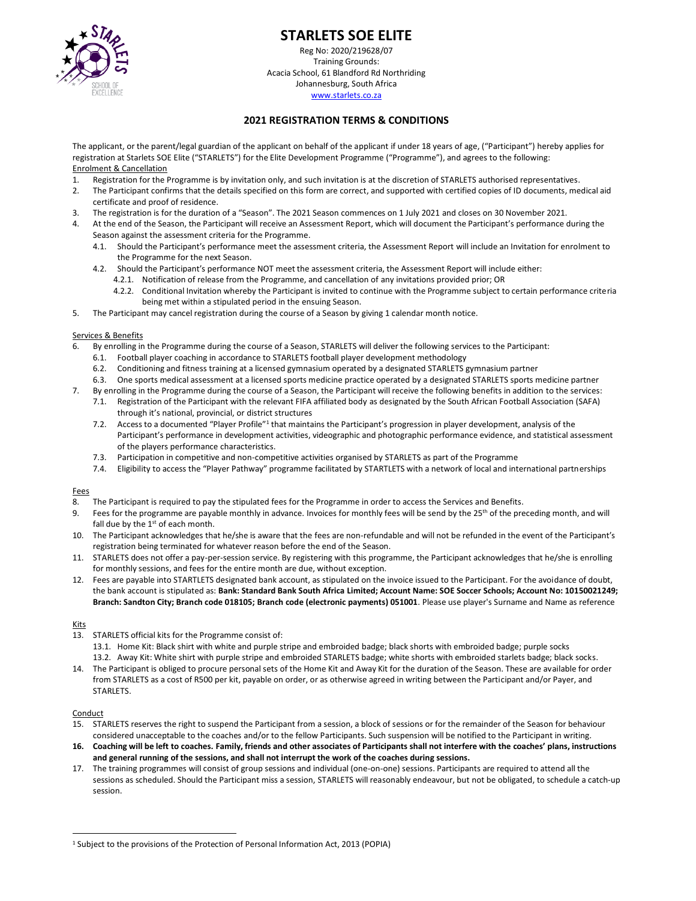

# **STARLETS SOE ELITE**

Reg No: 2020/219628/07 Training Grounds: Acacia School, 61 Blandford Rd Northriding Johannesburg, South Africa [www.starlets.co.za](http://www.starlets.co.za/)

## **2021 REGISTRATION TERMS & CONDITIONS**

The applicant, or the parent/legal guardian of the applicant on behalf of the applicant if under 18 years of age, ("Participant") hereby applies for registration at Starlets SOE Elite ("STARLETS") for the Elite Development Programme ("Programme"), and agrees to the following: Enrolment & Cancellation

- Registration for the Programme is by invitation only, and such invitation is at the discretion of STARLETS authorised representatives.
- 2. The Participant confirms that the details specified on this form are correct, and supported with certified copies of ID documents, medical aid certificate and proof of residence.
- 3. The registration is for the duration of a "Season". The 2021 Season commences on 1 July 2021 and closes on 30 November 2021.
- 4. At the end of the Season, the Participant will receive an Assessment Report, which will document the Participant's performance during the Season against the assessment criteria for the Programme.
	- 4.1. Should the Participant's performance meet the assessment criteria, the Assessment Report will include an Invitation for enrolment to the Programme for the next Season.
	- 4.2. Should the Participant's performance NOT meet the assessment criteria, the Assessment Report will include either:
		- 4.2.1. Notification of release from the Programme, and cancellation of any invitations provided prior; OR
		- 4.2.2. Conditional Invitation whereby the Participant is invited to continue with the Programme subject to certain performance criteria being met within a stipulated period in the ensuing Season.
- 5. The Participant may cancel registration during the course of a Season by giving 1 calendar month notice.

#### Services & Benefits

- 6. By enrolling in the Programme during the course of a Season, STARLETS will deliver the following services to the Participant:
	- 6.1. Football player coaching in accordance to STARLETS football player development methodology
	- 6.2. Conditioning and fitness training at a licensed gymnasium operated by a designated STARLETS gymnasium partner
	- 6.3. One sports medical assessment at a licensed sports medicine practice operated by a designated STARLETS sports medicine partner
	- 7. By enrolling in the Programme during the course of a Season, the Participant will receive the following benefits in addition to the services:
	- 7.1. Registration of the Participant with the relevant FIFA affiliated body as designated by the South African Football Association (SAFA) through it's national, provincial, or district structures
	- 7.2. Access to a documented "Player Profile"<sup>1</sup> that maintains the Participant's progression in player development, analysis of the Participant's performance in development activities, videographic and photographic performance evidence, and statistical assessment of the players performance characteristics.
	- 7.3. Participation in competitive and non-competitive activities organised by STARLETS as part of the Programme
	- 7.4. Eligibility to access the "Player Pathway" programme facilitated by STARTLETS with a network of local and international partnerships

#### **Fees**

- 8. The Participant is required to pay the stipulated fees for the Programme in order to access the Services and Benefits.
- 9. Fees for the programme are payable monthly in advance. Invoices for monthly fees will be send by the 25<sup>th</sup> of the preceding month, and will fall due by the  $1<sup>st</sup>$  of each month.
- 10. The Participant acknowledges that he/she is aware that the fees are non-refundable and will not be refunded in the event of the Participant's registration being terminated for whatever reason before the end of the Season.
- 11. STARLETS does not offer a pay-per-session service. By registering with this programme, the Participant acknowledges that he/she is enrolling for monthly sessions, and fees for the entire month are due, without exception.
- 12. Fees are payable into STARTLETS designated bank account, as stipulated on the invoice issued to the Participant. For the avoidance of doubt, the bank account is stipulated as: **Bank: Standard Bank South Africa Limited; Account Name: SOE Soccer Schools; Account No: 10150021249; Branch: Sandton City; Branch code 018105; Branch code (electronic payments) 051001**. Please use player's Surname and Name as reference

#### Kits

- 13. STARLETS official kits for the Programme consist of:
	- 13.1. Home Kit: Black shirt with white and purple stripe and embroided badge; black shorts with embroided badge; purple socks 13.2. Away Kit: White shirt with purple stripe and embroided STARLETS badge; white shorts with embroided starlets badge; black socks.
- 14. The Participant is obliged to procure personal sets of the Home Kit and Away Kit for the duration of the Season. These are available for order from STARLETS as a cost of R500 per kit, payable on order, or as otherwise agreed in writing between the Participant and/or Payer, and STARLETS.

#### **Conduct**

- 15. STARLETS reserves the right to suspend the Participant from a session, a block of sessions or for the remainder of the Season for behaviour considered unacceptable to the coaches and/or to the fellow Participants. Such suspension will be notified to the Participant in writing.
- **16. Coaching will be left to coaches. Family, friends and other associates of Participants shall not interfere with the coaches' plans, instructions and general running of the sessions, and shall not interrupt the work of the coaches during sessions.**
- 17. The training programmes will consist of group sessions and individual (one-on-one) sessions. Participants are required to attend all the sessions as scheduled. Should the Participant miss a session, STARLETS will reasonably endeavour, but not be obligated, to schedule a catch-up session.

<sup>&</sup>lt;sup>1</sup> Subject to the provisions of the Protection of Personal Information Act, 2013 (POPIA)